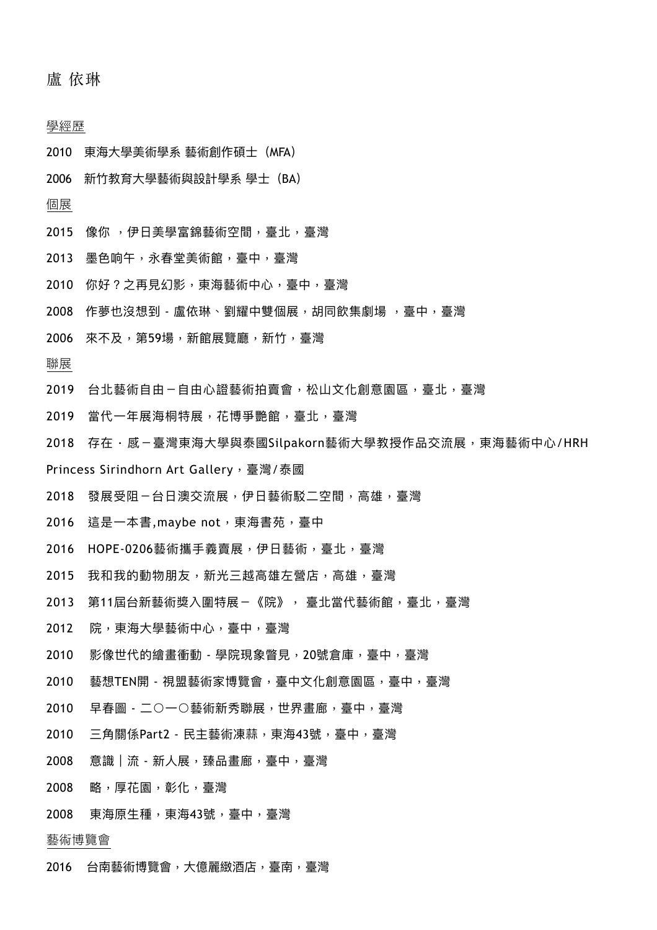盧 依琳

#### 學經歷

- 2010 東海⼤學美術學系 藝術創作碩⼠(MFA)
- 2006 新竹教育大學藝術與設計學系 學士 (BA)

## 個展

- 2015 像你, 伊日美學富錦藝術空間, 臺北, 臺灣
- 2013 墨⾊响午,永春堂美術館,臺中,臺灣
- 2010 你好?之再見幻影,東海藝術中心,臺中,臺灣
- 2008 作夢也沒想到 盧依琳、劉耀中雙個展,胡同飲集劇場 ,臺中,臺灣
- 2006 來不及,第59場,新館展覽廳,新竹,臺灣

### 聯展

- 2019 台北藝術自由-自由心證藝術拍賣會,松山文化創意園區,臺北,臺灣
- 2019 當代一年展海桐特展, 花博爭艷館, 臺北, 臺灣
- 2018 存在‧感‐臺灣東海大學與泰國Silpakorn藝術大學教授作品交流展,東海藝術中心/HRH
- Princess Sirindhorn Art Gallery, 臺灣/泰國
- 2018 發展受阻-台日澳交流展,伊日藝術駁二空間,高雄,臺灣
- 2016 這是一本書,maybe not,東海書苑,臺中
- 2016 HOPE-0206藝術攜⼿義賣展,伊⽇藝術,臺北,臺灣
- 2015 我和我的動物朋友, 新光三越高雄左營店, 高雄, 臺灣
- 2013 第11屆台新藝術獎入圍特展-《院》, 臺北當代藝術館,臺北,臺灣
- 2012 院,東海大學藝術中心,臺中,臺灣
- 2010 影像世代的繪畫衝動 學院現象瞥⾒,20號倉庫,臺中,臺灣
- 2010 藝想TEN開 視盟藝術家博覽會,臺中⽂化創意園區,臺中,臺灣
- 2010 早春圖 ⼆○⼀○藝術新秀聯展,世界畫廊,臺中,臺灣
- 2010 三⾓關係Part2 ⺠主藝術凍蒜,東海43號,臺中,臺灣
- 2008 意識︱流 新⼈展,臻品畫廊,臺中,臺灣
- 2008 略,厚花園,彰化,臺灣
- 2008 東海原⽣種,東海43號,臺中,臺灣

#### 藝術博覽會

2016 台南藝術博覽會,⼤億麗緻酒店,臺南,臺灣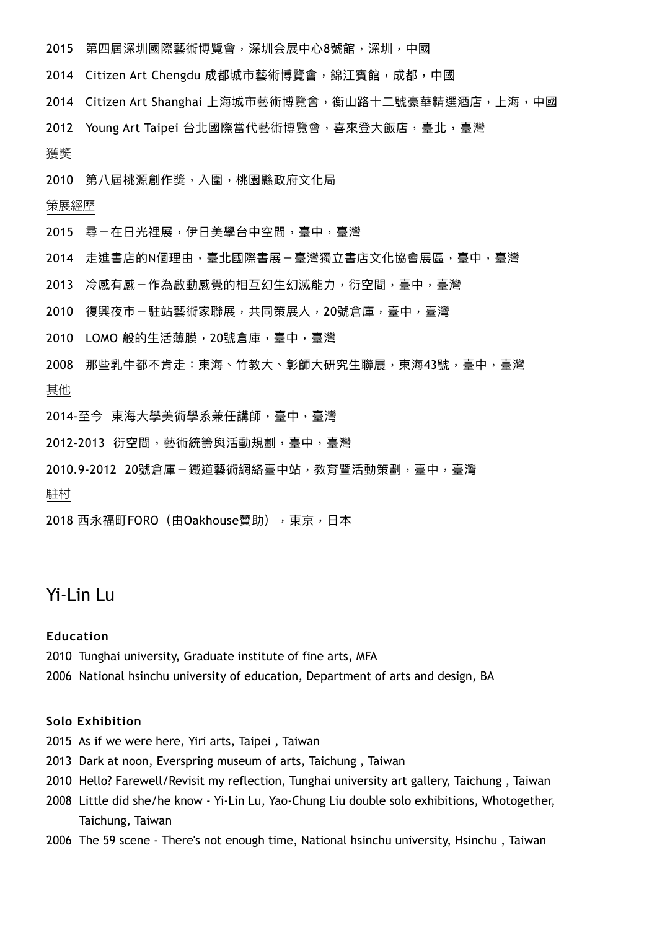- 2015 第四屆深圳國際藝術博覽會,深圳会展中心8號館,深圳,中國
- 2014 Citizen Art Chengdu 成都城市藝術博覽會,錦江賓館,成都,中國
- 2014 Citizen Art Shanghai 上海城市藝術博覽會,衡山路十二號豪華精選酒店,上海,中國
- 2012 Young Art Taipei 台北國際當代藝術博覽會,喜來登⼤飯店,臺北,臺灣

#### 獲獎

2010 第八屆桃源創作獎,入圍,桃園縣政府文化局

#### 策展經歷

- 2015 尋-在日光裡展,伊日美學台中空間,臺中,臺灣
- 2014 走進書店的N個理由,臺北國際書展-臺灣獨立書店文化協會展區,臺中,臺灣
- 2013 冷感有感-作為啟動感覺的相互幻生幻滅能力,衍空間,臺中,臺灣
- 2010 復興夜市−駐站藝術家聯展,共同策展人,20號倉庫,臺中,臺灣
- 2010 LOMO 般的⽣活薄膜,20號倉庫,臺中,臺灣
- 2008 那些乳⽜都不肯走:東海、⽵教⼤、彰師⼤研究⽣聯展,東海43號,臺中,臺灣 其他
- 2014-⾄今 東海⼤學美術學系兼任講師,臺中,臺灣
- 2012-2013 衍空間,藝術統籌與活動規劃,臺中,臺灣
- 2010.9-2012 20號倉庫-鐵道藝術網絡臺中站,教育暨活動策劃,臺中,臺灣

駐村

2018 西永福町FORO (由Oakhouse贊助), 東京, 日本

# Yi-Lin Lu

### **Education**

- 2010 Tunghai university, Graduate institute of fine arts, MFA
- 2006 National hsinchu university of education, Department of arts and design, BA

#### **Solo Exhibition**

- 2015 As if we were here, Yiri arts, Taipei , Taiwan
- 2013Dark at noon, Everspring museum of arts, Taichung , Taiwan
- 2010 Hello? Farewell/Revisit my reflection, Tunghai university art gallery, Taichung , Taiwan
- 2008 Little did she/he know Yi-Lin Lu, Yao-Chung Liu double solo exhibitions, Whotogether, Taichung, Taiwan
- 2006 The 59 scene There's not enough time, National hsinchu university, Hsinchu , Taiwan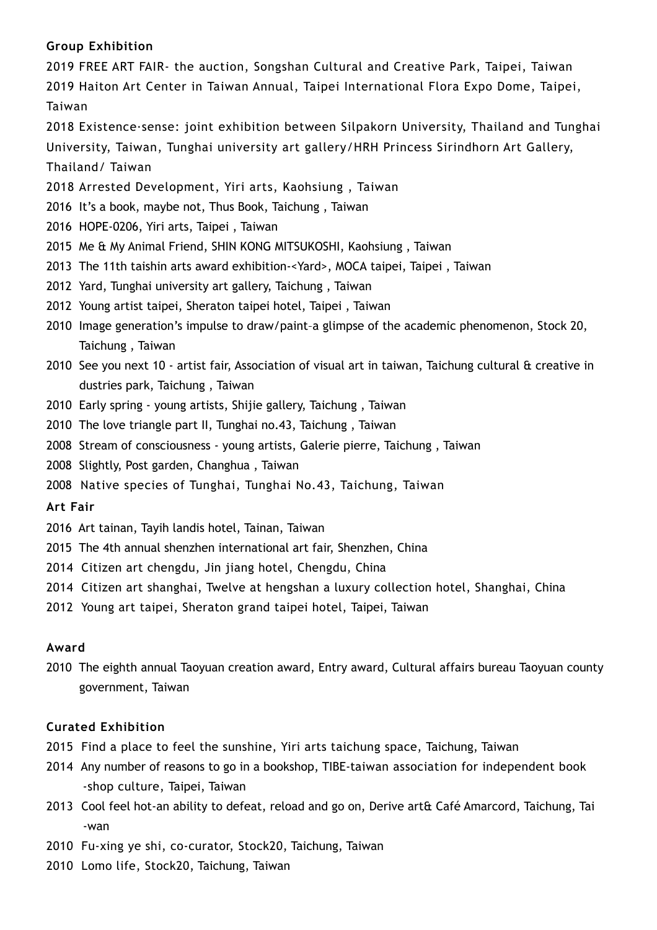## **Group Exhibition**

2019 FREE ART FAIR- the auction, Songshan Cultural and Creative Park, Taipei, Taiwan 2019 Haiton Art Center in Taiwan Annual, Taipei International Flora Expo Dome, Taipei, Taiwan

2018 Existence·sense: joint exhibition between Silpakorn University, Thailand and Tunghai University, Taiwan, Tunghai university art gallery/HRH Princess Sirindhorn Art Gallery, Thailand/ Taiwan

- 2018 Arrested Development, Yiri arts, Kaohsiung , Taiwan
- 2016 It's a book, maybe not, Thus Book, Taichung , Taiwan
- 2016 HOPE-0206, Yiri arts, Taipei , Taiwan
- 2015 Me & My Animal Friend, SHIN KONG MITSUKOSHI, Kaohsiung , Taiwan
- 2013 The 11th taishin arts award exhibition-<Yard>, MOCA taipei, Taipei , Taiwan
- 2012 Yard, Tunghai university art gallery, Taichung , Taiwan
- 2012 Young artist taipei, Sheraton taipei hotel, Taipei , Taiwan
- 2010 Image generation's impulse to draw/paint–a glimpse of the academic phenomenon, Stock 20, Taichung , Taiwan
- 2010 See you next 10 artist fair, Association of visual art in taiwan, Taichung cultural & creative in dustries park, Taichung , Taiwan
- 2010 Early spring young artists, Shijie gallery, Taichung , Taiwan
- 2010 The love triangle part II, Tunghai no.43, Taichung , Taiwan
- 2008 Stream of consciousness young artists, Galerie pierre, Taichung , Taiwan
- 2008 Slightly, Post garden, Changhua , Taiwan
- 2008 Native species of Tunghai, Tunghai No.43, Taichung, Taiwan

## **Art Fair**

- 2016 Art tainan, Tayih landis hotel, Tainan, Taiwan
- 2015 The 4th annual shenzhen international art fair, Shenzhen, China
- 2014 Citizen art chengdu, Jin jiang hotel, Chengdu, China
- 2014 Citizen art shanghai, Twelve at hengshan a luxury collection hotel, Shanghai, China
- 2012 Young art taipei, Sheraton grand taipei hotel, Taipei, Taiwan

## **Award**

2010 The eighth annual Taoyuan creation award, Entry award, Cultural affairs bureau Taoyuan county government, Taiwan

## **Curated Exhibition**

- 2015 Find a place to feel the sunshine, Yiri arts taichung space, Taichung, Taiwan
- 2014 Any number of reasons to go in a bookshop, TIBE-taiwan association for independent book -shop culture, Taipei, Taiwan
- 2013 Cool feel hot-an ability to defeat, reload and go on, Derive art& Café Amarcord, Taichung, Tai -wan
- 2010 Fu-xing ye shi, co-curator, Stock20, Taichung, Taiwan
- 2010 Lomo life, Stock20, Taichung, Taiwan